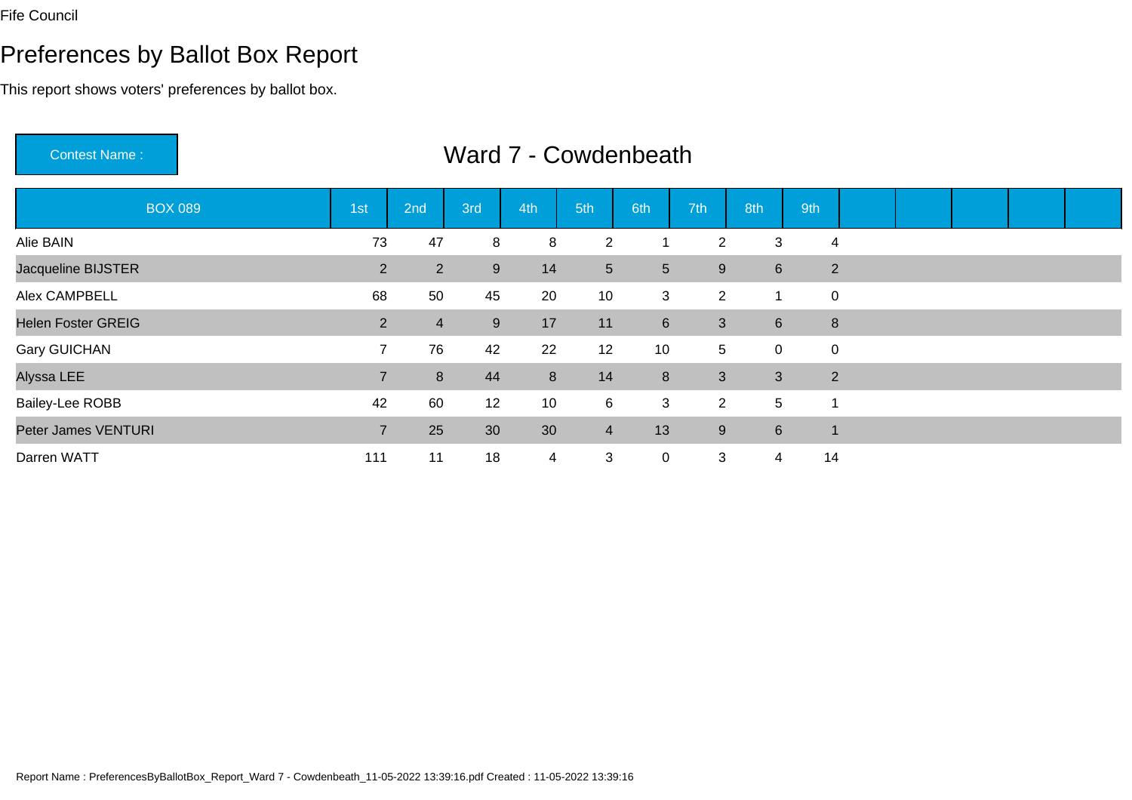# Preferences by Ballot Box Report

This report shows voters' preferences by ballot box.

Contest Name :

| <b>BOX 089</b>            | 1st            | 2nd            | 3rd | 4th            | 5th             | 6th            | 7th            | 8th            | 9th                      |                |  |  |
|---------------------------|----------------|----------------|-----|----------------|-----------------|----------------|----------------|----------------|--------------------------|----------------|--|--|
| Alie BAIN                 | 73             | 47             | 8   | 8              | $\overline{2}$  |                | $\overline{2}$ | 3              |                          | 4              |  |  |
| Jacqueline BIJSTER        | $\overline{2}$ | $2^{\circ}$    | 9   | 14             | $5\overline{)}$ | 5 <sup>5</sup> | 9              | 6              |                          | $\overline{2}$ |  |  |
| Alex CAMPBELL             | 68             | 50             | 45  | 20             | 10 <sup>°</sup> | 3              | $\overline{2}$ | 1              | $\mathbf 0$              |                |  |  |
| <b>Helen Foster GREIG</b> | $\overline{2}$ | $\overline{4}$ | 9   | 17             | 11              | 6              | $\mathbf{3}$   | 6              | $\boldsymbol{8}$         |                |  |  |
| <b>Gary GUICHAN</b>       | $\overline{7}$ | 76             | 42  | 22             | 12              | 10             | 5 <sup>5</sup> | 0              | $\mathbf 0$              |                |  |  |
| Alyssa LEE                | $\overline{7}$ | 8              | 44  | 8              | 14              | 8              | $\mathbf{3}$   | $\mathbf{3}$   | $\overline{2}$           |                |  |  |
| <b>Bailey-Lee ROBB</b>    | 42             | 60             | 12  | 10             | 6               | 3              | $\overline{2}$ | $\overline{5}$ | -1                       |                |  |  |
| Peter James VENTURI       | $\overline{7}$ | 25             | 30  | 30             | $\overline{4}$  | 13             | 9              | $\,6\,$        | $\overline{\phantom{a}}$ |                |  |  |
| Darren WATT               | 111            | 11             | 18  | $\overline{4}$ | 3               | $\mathbf 0$    | 3              | 4              | 14                       |                |  |  |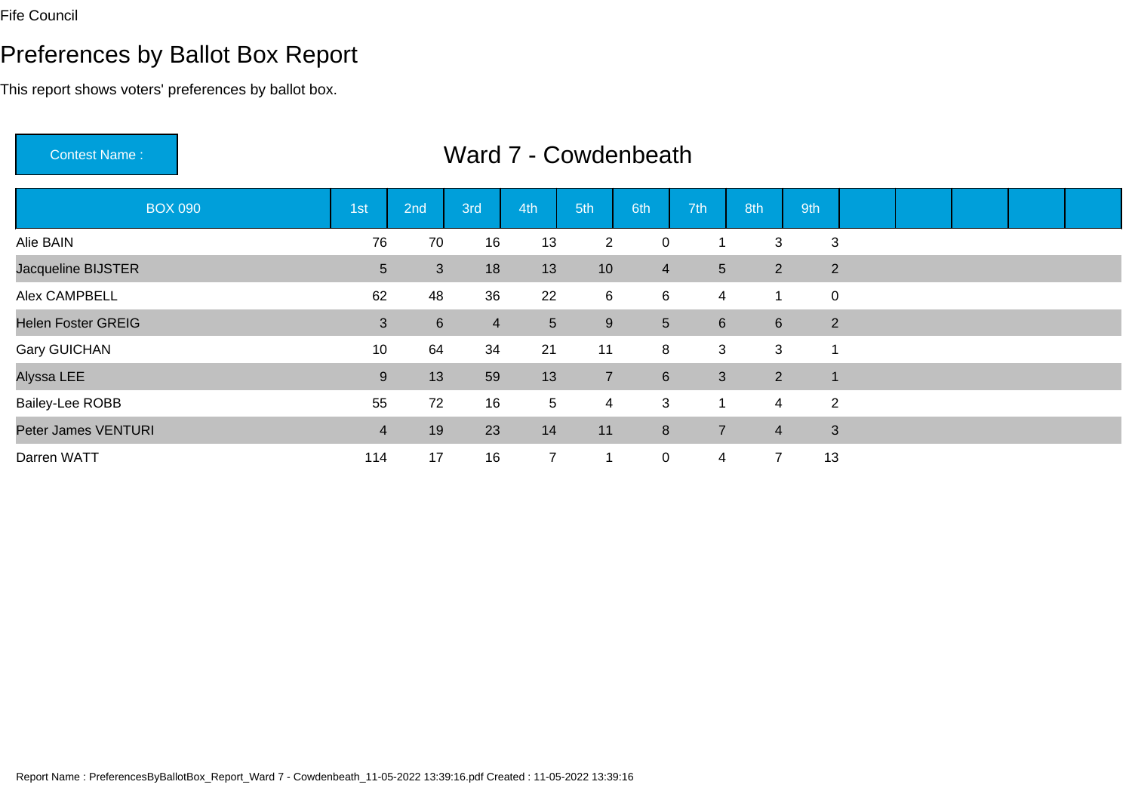Contest Name :

# Preferences by Ballot Box Report

This report shows voters' preferences by ballot box.

| <b>BOX 090</b>            | 1st            | 2nd            | 3rd            | 4th             | 5th            | 6th            | 7th            | 8th            | 9th            |  |  |  |
|---------------------------|----------------|----------------|----------------|-----------------|----------------|----------------|----------------|----------------|----------------|--|--|--|
| Alie BAIN                 | 76             | 70             | 16             | 13              | $\overline{2}$ | $\mathbf 0$    |                | 3              | 3              |  |  |  |
| Jacqueline BIJSTER        | 5 <sup>5</sup> | 3              | 18             | 13              | 10             | $\overline{4}$ | 5              | $\overline{2}$ | $\overline{2}$ |  |  |  |
| Alex CAMPBELL             | 62             | 48             | 36             | 22              | 6              | 6              | 4              | 1              | $\mathbf 0$    |  |  |  |
| <b>Helen Foster GREIG</b> | 3              | $6\phantom{1}$ | $\overline{4}$ | $5\overline{)}$ | $9\,$          | 5 <sup>5</sup> | 6              | 6              | $\overline{2}$ |  |  |  |
| <b>Gary GUICHAN</b>       | 10             | 64             | 34             | 21              | 11             | 8              | 3              | 3              |                |  |  |  |
| Alyssa LEE                | 9              | 13             | 59             | 13              | $\overline{7}$ | 6              | 3              | 2              | $\mathbf 1$    |  |  |  |
| <b>Bailey-Lee ROBB</b>    | 55             | 72             | 16             | $5\phantom{.0}$ | 4              | 3              | -1             | $\overline{4}$ | $\overline{2}$ |  |  |  |
| Peter James VENTURI       | $\overline{4}$ | 19             | 23             | 14              | 11             | 8              | $\overline{7}$ | $\overline{4}$ | 3              |  |  |  |
| Darren WATT               | 114            | 17             | 16             | $\overline{7}$  | $\mathbf 1$    | $\mathbf 0$    | 4              | 7              | 13             |  |  |  |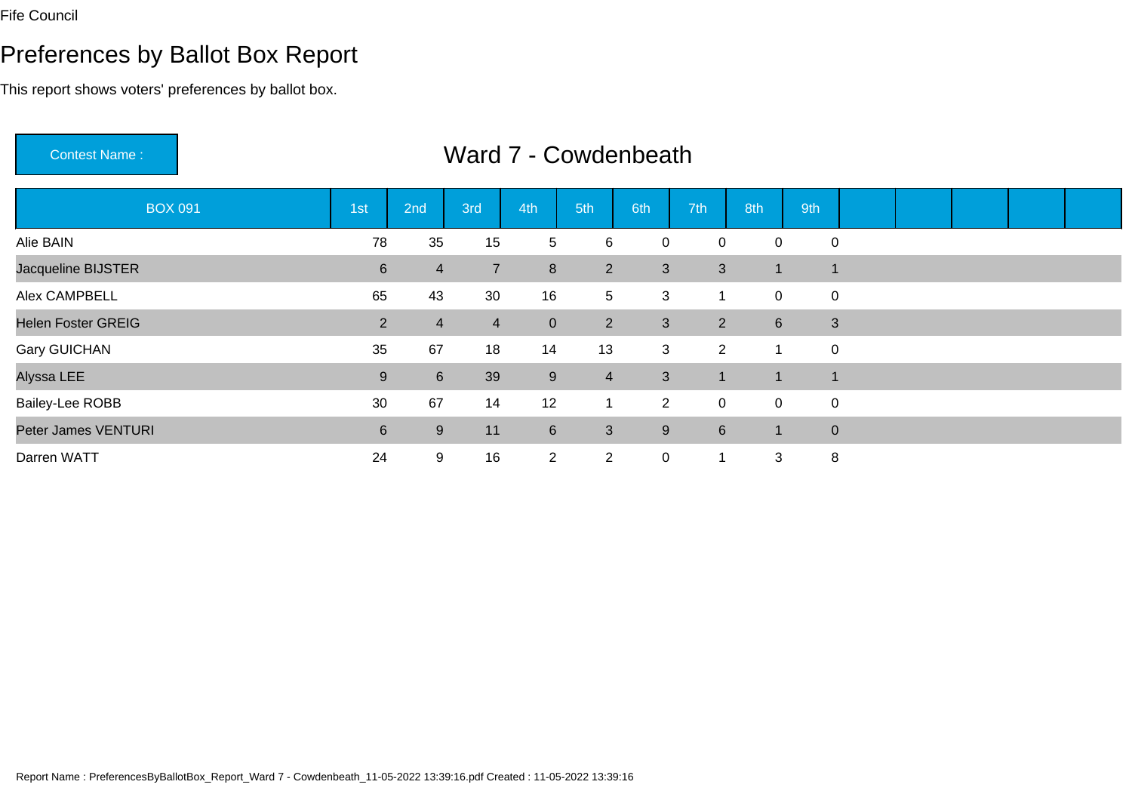# Preferences by Ballot Box Report

This report shows voters' preferences by ballot box.

Contest Name :

| <b>BOX 091</b>            | 1 <sub>st</sub> | 2nd             | 3rd            | 4th            | 5th             | 6th            | 7th             | 8th         | 9th                      |                |  |  |
|---------------------------|-----------------|-----------------|----------------|----------------|-----------------|----------------|-----------------|-------------|--------------------------|----------------|--|--|
| Alie BAIN                 | 78              | 35              | 15             | $\overline{5}$ | 6               | $\mathbf 0$    | 0               | 0           | $\overline{0}$           |                |  |  |
| Jacqueline BIJSTER        | 6               | $\overline{4}$  | $\overline{7}$ | 8              | $2^{\circ}$     | 3              | $\mathbf{3}$    | 1           | $\overline{\phantom{a}}$ |                |  |  |
| Alex CAMPBELL             | 65              | 43              | 30             | 16             | $5\overline{)}$ | 3              |                 | $\pmb{0}$   |                          | $\mathbf 0$    |  |  |
| <b>Helen Foster GREIG</b> | $2^{\circ}$     | $\overline{4}$  | $\overline{4}$ | $\mathbf{0}$   | $2^{\circ}$     | 3              | 2               | $\,6\,$     |                          | 3              |  |  |
| <b>Gary GUICHAN</b>       | 35              | 67              | 18             | 14             | 13              | 3              | $\overline{2}$  | 1           | $\mathbf 0$              |                |  |  |
| Alyssa LEE                | $9\,$           | $6\overline{6}$ | 39             | 9              | $\overline{4}$  | 3              | -1              | -1          | $\overline{\phantom{a}}$ |                |  |  |
| <b>Bailey-Lee ROBB</b>    | 30              | 67              | 14             | 12             | 1               | 2 <sup>1</sup> | $\mathbf 0$     | $\mathbf 0$ | $\overline{0}$           |                |  |  |
| Peter James VENTURI       | 6               | 9               | 11             | $6\phantom{1}$ | $\mathbf{3}$    | 9              | $6\overline{6}$ | -1          |                          | $\overline{0}$ |  |  |
| Darren WATT               | 24              | 9               | 16             | $\overline{2}$ | $\overline{2}$  | $\mathbf 0$    | 1               | 3           | 8                        |                |  |  |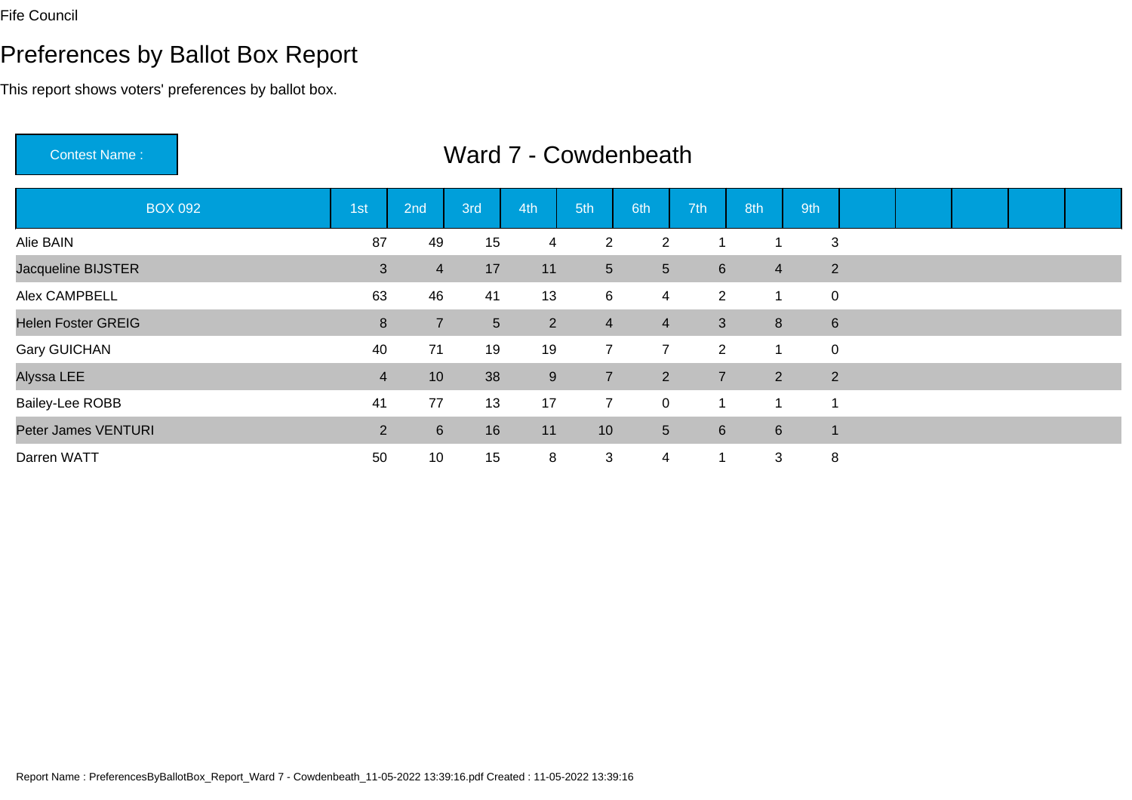# Preferences by Ballot Box Report

This report shows voters' preferences by ballot box.

Contest Name :

| <b>BOX 092</b>            | 1st            | 2nd              | 3rd             | 4th              | 5th             | 6th            | 7th             | 8th            | 9th            |  |  |  |
|---------------------------|----------------|------------------|-----------------|------------------|-----------------|----------------|-----------------|----------------|----------------|--|--|--|
| Alie BAIN                 | 87             | 49               | 15              | $\overline{4}$   | $\overline{2}$  | 2              |                 |                | 3              |  |  |  |
| Jacqueline BIJSTER        | $\mathfrak{B}$ | $\overline{4}$   | 17              | 11               | $5\overline{)}$ | 5              | $6\overline{6}$ | $\overline{4}$ | 2              |  |  |  |
| Alex CAMPBELL             | 63             | 46               | 41              | 13               | $6\overline{6}$ | 4              | $\overline{2}$  | 1              | $\mathbf 0$    |  |  |  |
| <b>Helen Foster GREIG</b> | $\bf 8$        | $\overline{7}$   | $5\phantom{.0}$ | $\overline{2}$   | $\overline{4}$  | $\overline{4}$ | 3               | 8              | $6\phantom{1}$ |  |  |  |
| <b>Gary GUICHAN</b>       | 40             | 71               | 19              | 19               | $7^{\circ}$     | $\overline{7}$ | $\overline{2}$  | 1              | $\mathbf 0$    |  |  |  |
| Alyssa LEE                | $\overline{4}$ | 10               | 38              | $\boldsymbol{9}$ | $\overline{7}$  | $2^{\circ}$    | $\overline{7}$  | $\overline{2}$ | 2              |  |  |  |
| Bailey-Lee ROBB           | 41             | 77               | 13              | 17               | $\overline{7}$  | $\mathsf{O}$   | -1              | -1             |                |  |  |  |
| Peter James VENTURI       | $\overline{2}$ | $6 \overline{6}$ | 16              | 11               | 10              | 5 <sup>5</sup> | $6\overline{6}$ | 6              |                |  |  |  |
| Darren WATT               | 50             | 10               | 15              | 8                | 3               | 4              | 1               | 3              | 8              |  |  |  |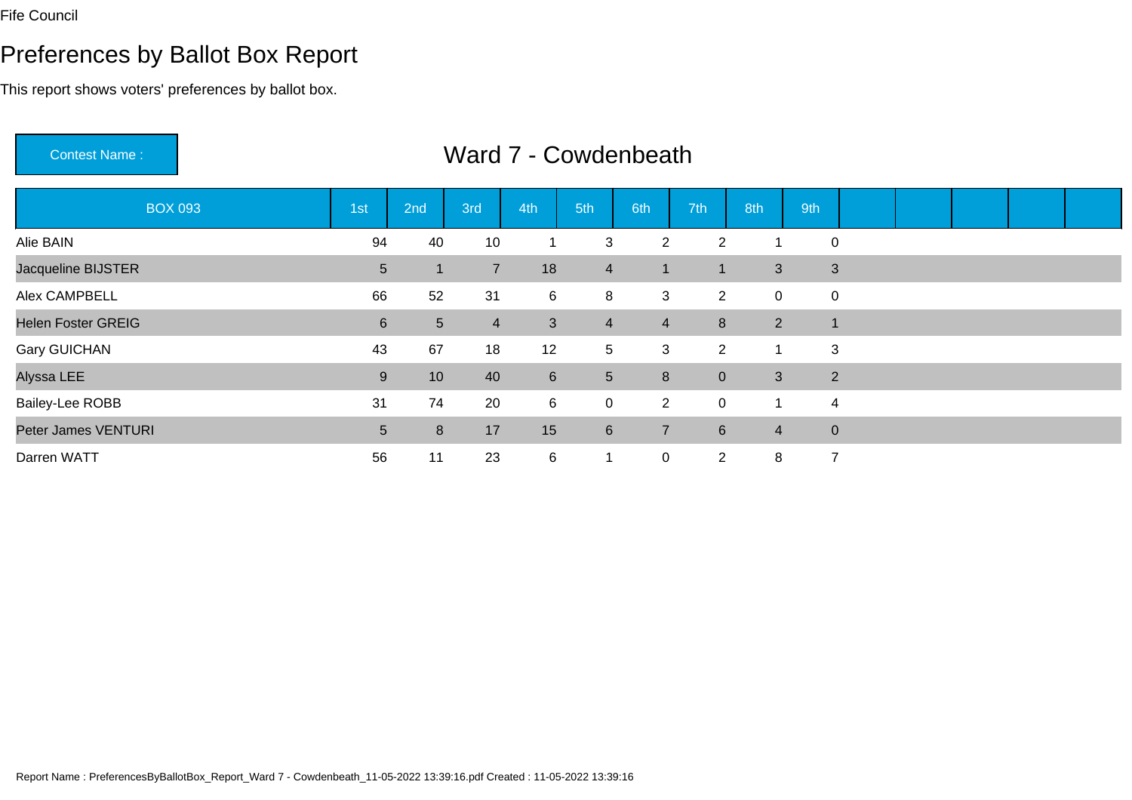Contest Name :

#### Preferences by Ballot Box Report

This report shows voters' preferences by ballot box.

BOX 093 1st 2nd 3rd 4th 5th 6th 7th 8th 9th Alie BAINN 3 2 2 1 0 Jacqueline BIJSTERR<br>
1 1 3 3 3 5 1 7 18 4 1 1 3 3 Alex CAMPBELL <sup>66</sup> <sup>52</sup> <sup>31</sup> <sup>6</sup> <sup>8</sup> <sup>3</sup> <sup>2</sup> <sup>0</sup> <sup>0</sup> Helen Foster GREIG <sup>6</sup> <sup>5</sup> <sup>4</sup> <sup>3</sup> <sup>4</sup> <sup>4</sup> <sup>8</sup> <sup>2</sup> <sup>1</sup> Gary GUICHANN 12 5 3 2 1 3 Alyssa LEE <sup>9</sup> <sup>10</sup> <sup>40</sup> <sup>6</sup> <sup>5</sup> <sup>8</sup> <sup>0</sup> <sup>3</sup> <sup>2</sup> Bailey-Lee ROBBB 31 74 20 6 0 2 0 1 4 Peter James VENTURI $\blacksquare$  <sup>8</sup> <sup>17</sup> <sup>15</sup> <sup>6</sup> <sup>7</sup> <sup>6</sup> <sup>4</sup> <sup>0</sup> Darren WATTT 56 11 23 6 1 0 2 8 7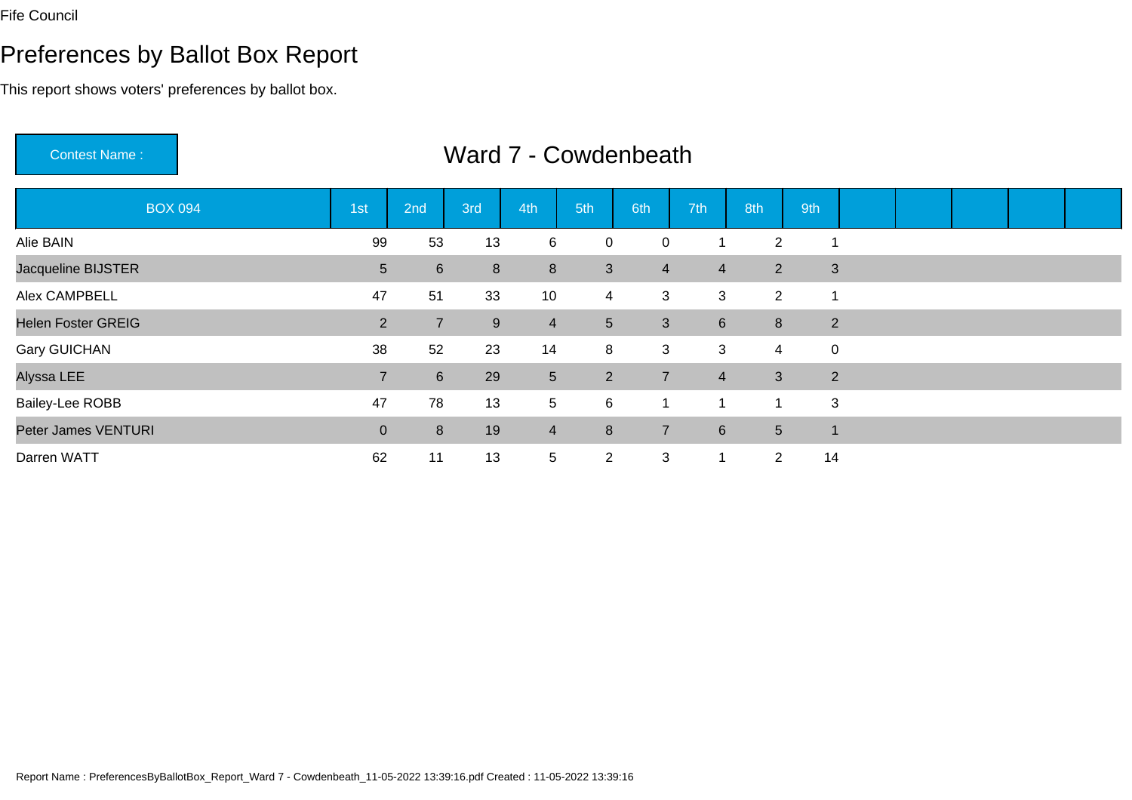Contest Name :

# Preferences by Ballot Box Report

This report shows voters' preferences by ballot box.

| <b>BOX 094</b>            | 1st            | 2nd            | 3rd     | 4th             | 5th            | 6th            | 7th             | 8th            | 9th            |  |  |  |
|---------------------------|----------------|----------------|---------|-----------------|----------------|----------------|-----------------|----------------|----------------|--|--|--|
| Alie BAIN                 | 99             | 53             | 13      | 6               | 0              | $\mathbf 0$    |                 | $\overline{2}$ |                |  |  |  |
| Jacqueline BIJSTER        | 5 <sup>5</sup> | $6\phantom{1}$ | $\bf 8$ | 8               | 3              | $\overline{4}$ | $\overline{4}$  | $\overline{2}$ | $\mathbf{3}$   |  |  |  |
| Alex CAMPBELL             | 47             | 51             | 33      | 10              | 4              | 3              | 3               | $\overline{2}$ |                |  |  |  |
| <b>Helen Foster GREIG</b> | $\overline{2}$ | $\overline{7}$ | $9\,$   | $\overline{4}$  | 5 <sup>5</sup> | 3 <sup>1</sup> | 6               | 8              | $\overline{2}$ |  |  |  |
| <b>Gary GUICHAN</b>       | 38             | 52             | 23      | 14              | 8              | 3              | 3               | $\overline{4}$ | $\pmb{0}$      |  |  |  |
| Alyssa LEE                | $\overline{7}$ | $6\phantom{1}$ | 29      | $5\phantom{.0}$ | $\overline{2}$ | $\overline{7}$ | $\overline{4}$  | 3              | $\overline{2}$ |  |  |  |
| Bailey-Lee ROBB           | 47             | 78             | 13      | $5\phantom{.0}$ | 6              | $\mathbf 1$    | 1               | -1             | 3              |  |  |  |
| Peter James VENTURI       | $\mathbf{0}$   | 8              | 19      | $\overline{4}$  | 8              | $\overline{7}$ | $6\phantom{1}6$ | 5 <sup>5</sup> | $\mathbf 1$    |  |  |  |
| Darren WATT               | 62             | 11             | 13      | $\overline{5}$  | $\overline{2}$ | 3              | -1              | $\overline{2}$ | 14             |  |  |  |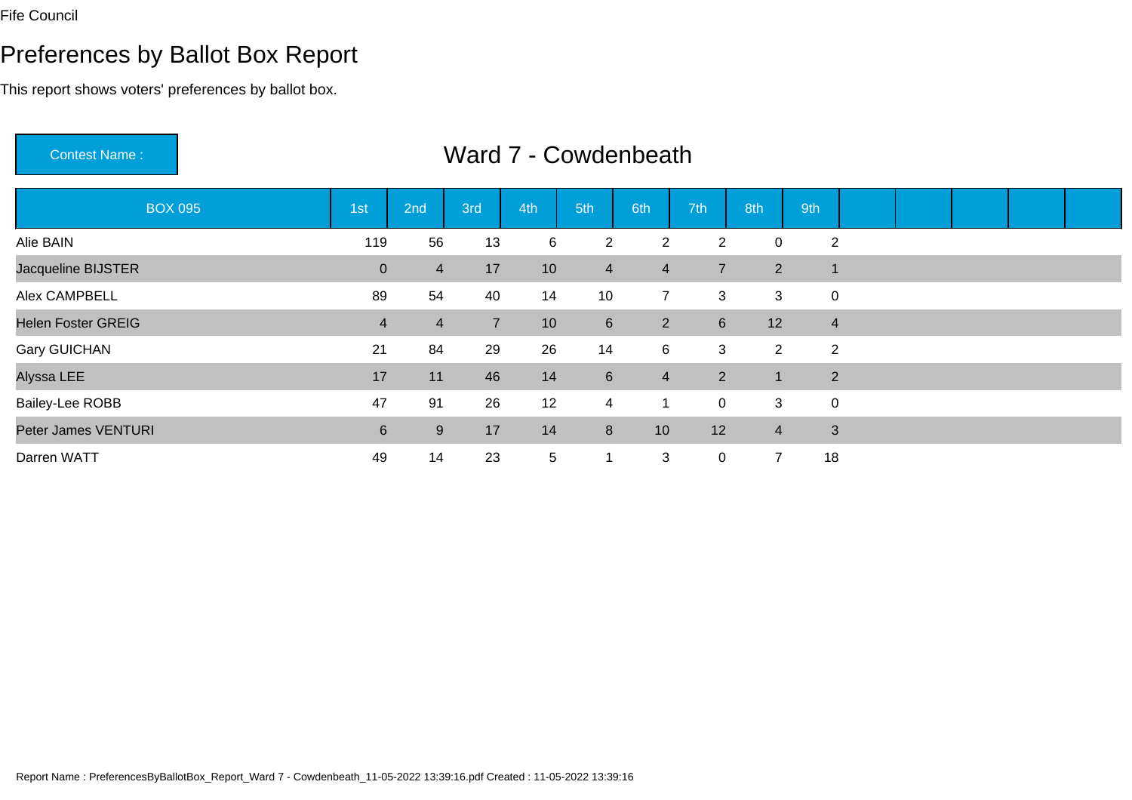# Preferences by Ballot Box Report

This report shows voters' preferences by ballot box.

Contest Name :

| <b>BOX 095</b>            | 1st            | 2nd            | 3rd            | 4th             | 5th            | 6th            | 7th             | 8th            | 9th                      |  |  |  |
|---------------------------|----------------|----------------|----------------|-----------------|----------------|----------------|-----------------|----------------|--------------------------|--|--|--|
| Alie BAIN                 | 119            | 56             | 13             | 6               | $\overline{2}$ | $\overline{2}$ | $\overline{2}$  | 0              | $\overline{2}$           |  |  |  |
| Jacqueline BIJSTER        | $\overline{0}$ | $\overline{4}$ | 17             | 10              | $\overline{4}$ | $\overline{4}$ | $\overline{7}$  | $\overline{2}$ | $\overline{\phantom{a}}$ |  |  |  |
| Alex CAMPBELL             | 89             | 54             | 40             | 14              | 10             | $7^{\circ}$    | 3               | 3              | $\mathbf 0$              |  |  |  |
| <b>Helen Foster GREIG</b> | $\overline{4}$ | $\overline{4}$ | $\overline{7}$ | 10              | $6\phantom{1}$ | $2^{\circ}$    | $6\overline{6}$ | 12             | $\overline{4}$           |  |  |  |
| <b>Gary GUICHAN</b>       | 21             | 84             | 29             | 26              | 14             | 6              | 3               | $\overline{2}$ | $\overline{2}$           |  |  |  |
| Alyssa LEE                | 17             | 11             | 46             | 14              | $6\phantom{1}$ | $\overline{4}$ | $\overline{2}$  | -1             | $\overline{2}$           |  |  |  |
| <b>Bailey-Lee ROBB</b>    | 47             | 91             | 26             | 12              | $\overline{4}$ | 1              | $\mathbf 0$     | 3              | $\mathbf 0$              |  |  |  |
| Peter James VENTURI       | $6\phantom{.}$ | 9              | 17             | 14              | 8              | 10             | 12              | $\overline{4}$ | 3                        |  |  |  |
| Darren WATT               | 49             | 14             | 23             | $5\phantom{.0}$ | 1              | 3              | $\mathbf 0$     | $\overline{ }$ | 18                       |  |  |  |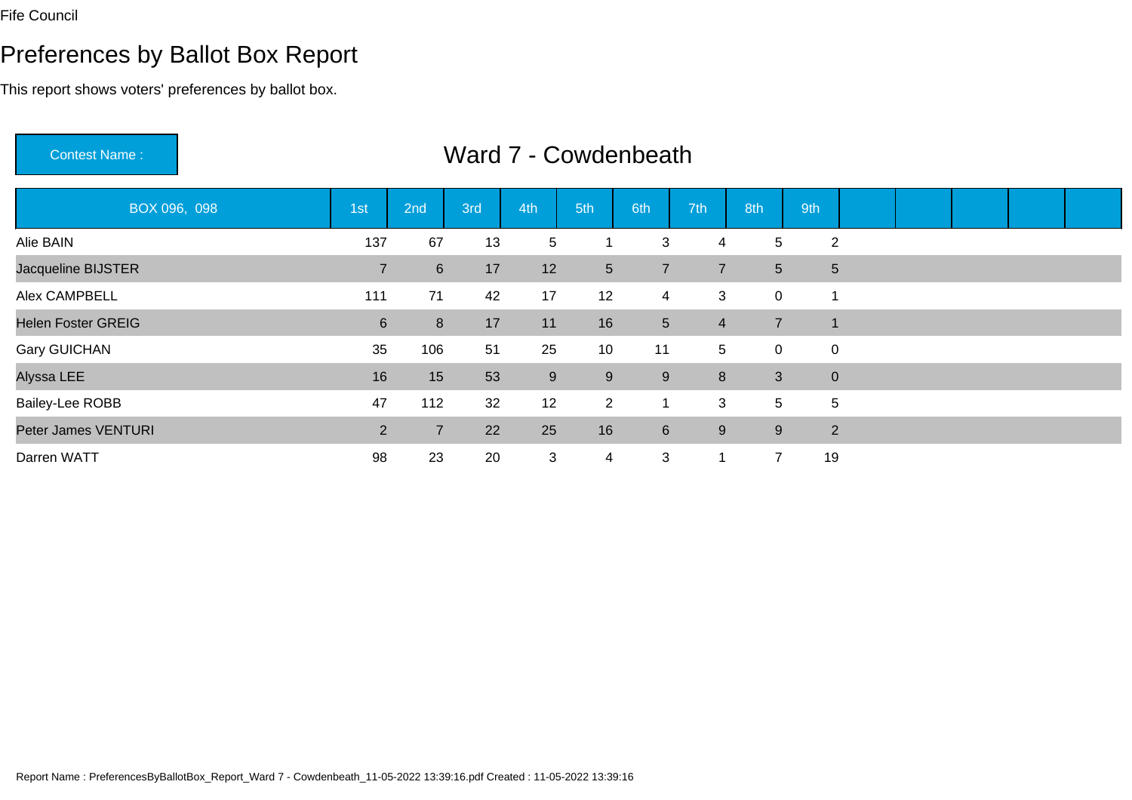Contest Name :

#### Preferences by Ballot Box Report

This report shows voters' preferences by ballot box.

BOX 096, 098 1st 2nd 3rd 4th 5th 6th 7th 8th 9th Alie BAINN 137 67 13 5 1 3 4 5 2 Jacqueline BIJSTERR<br>R<br>2 17 6 17 12 5 7 7 5 5 Alex CAMPBELL <sup>111</sup> <sup>71</sup> <sup>42</sup> <sup>17</sup> <sup>12</sup> <sup>4</sup> <sup>3</sup> <sup>0</sup> <sup>1</sup> Helen Foster GREIG <sup>6</sup> <sup>8</sup> <sup>17</sup> <sup>11</sup> <sup>16</sup> <sup>5</sup> <sup>4</sup> <sup>7</sup> <sup>1</sup> Gary GUICHANN 35 106 51 25 10 11 5 0 0 Alyssa LEE <sup>16</sup> <sup>15</sup> <sup>53</sup> <sup>9</sup> <sup>9</sup> <sup>9</sup> <sup>8</sup> <sup>3</sup> <sup>0</sup> Bailey-Lee ROBBB 12 32 12 2 1 3 5 5 Peter James VENTURI $\overline{1}$  , and  $\overline{2}$  , and  $\overline{2}$  <sup>7</sup> <sup>22</sup> <sup>25</sup> <sup>16</sup> <sup>6</sup> <sup>9</sup> <sup>9</sup> <sup>2</sup> Darren WATTT 3 28 23 20 3 4 3 1 7 19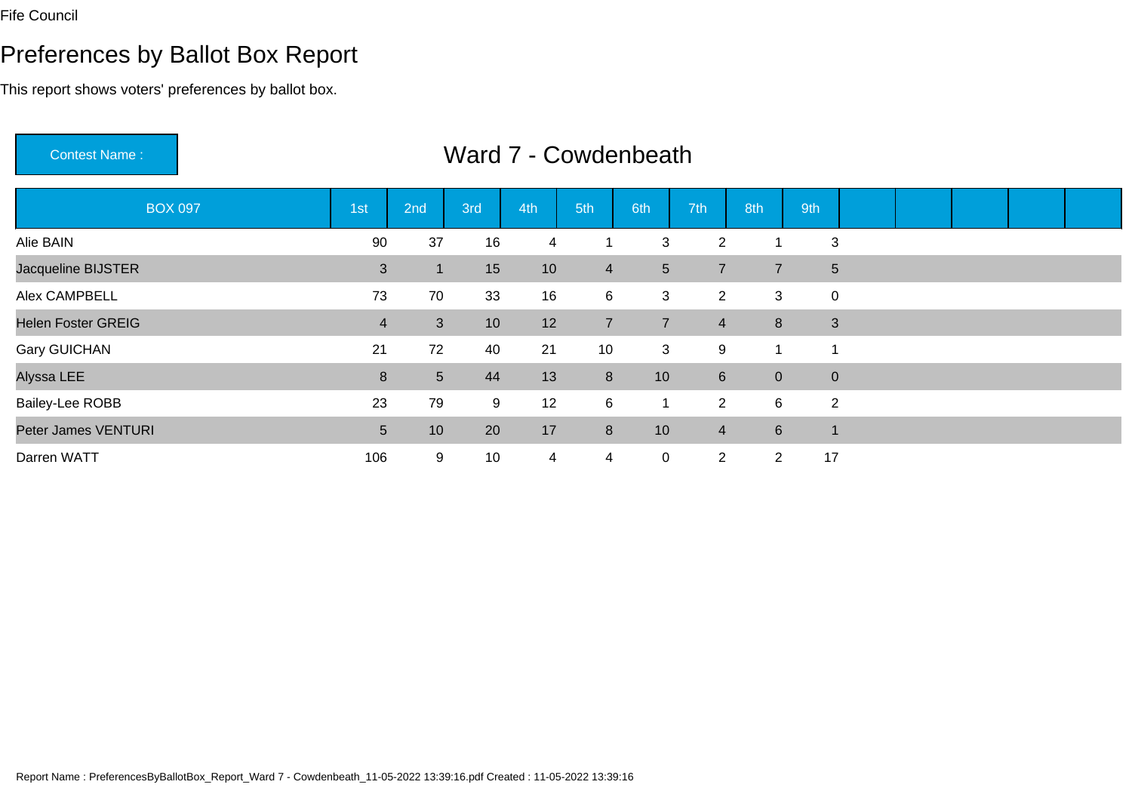Contest Name :

# Preferences by Ballot Box Report

This report shows voters' preferences by ballot box.

| <b>BOX 097</b>            | 1st            | 2nd            | 3rd | 4th            | 5th <sub>1</sub> | 6th            | 7th            | 8th             | 9th             |  |  |  |
|---------------------------|----------------|----------------|-----|----------------|------------------|----------------|----------------|-----------------|-----------------|--|--|--|
| Alie BAIN                 | 90             | 37             | 16  | 4              |                  | 3              | 2              |                 | 3               |  |  |  |
| Jacqueline BIJSTER        | 3              |                | 15  | 10             | 4                | 5 <sup>5</sup> | $\overline{7}$ | $\overline{7}$  | $5\phantom{.0}$ |  |  |  |
| Alex CAMPBELL             | 73             | 70             | 33  | 16             | 6                | 3              | $\overline{2}$ | 3               | 0               |  |  |  |
| <b>Helen Foster GREIG</b> | $\overline{4}$ | 3              | 10  | 12             | $\overline{7}$   | $\overline{7}$ | $\overline{4}$ | 8               | $\mathbf{3}$    |  |  |  |
| <b>Gary GUICHAN</b>       | 21             | 72             | 40  | 21             | 10               | 3              | 9              | 1               |                 |  |  |  |
| Alyssa LEE                | 8              | $\overline{5}$ | 44  | 13             | 8                | 10             | 6              | $\overline{0}$  | $\overline{0}$  |  |  |  |
| <b>Bailey-Lee ROBB</b>    | 23             | 79             | 9   | 12             | 6                | $\overline{1}$ | $\overline{2}$ | $6\phantom{.}6$ | $\overline{2}$  |  |  |  |
| Peter James VENTURI       | 5 <sup>5</sup> | 10             | 20  | 17             | 8                | 10             | $\overline{4}$ | $6\overline{6}$ | $\mathbf 1$     |  |  |  |
| Darren WATT               | 106            | 9              | 10  | $\overline{4}$ | 4                | $\overline{0}$ | $\overline{2}$ | $\overline{2}$  | 17              |  |  |  |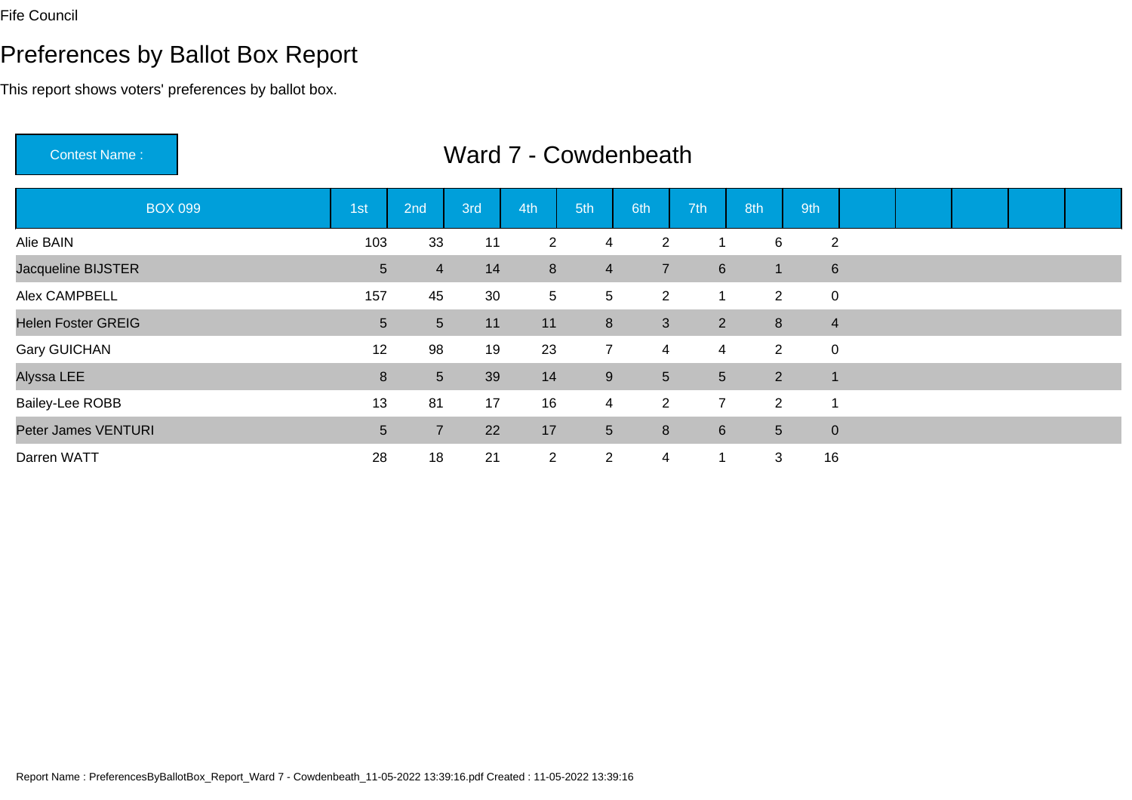# Preferences by Ballot Box Report

This report shows voters' preferences by ballot box.

Contest Name :

| <b>BOX 099</b>            | 1st             | 2nd            | 3rd | 4th             | 5th              | 6th            | 7th             | 8th            | 9th                     |  |  |  |
|---------------------------|-----------------|----------------|-----|-----------------|------------------|----------------|-----------------|----------------|-------------------------|--|--|--|
| Alie BAIN                 | 103             | 33             | 11  | $\overline{2}$  | 4                | $\overline{2}$ |                 | 6              | $\overline{2}$          |  |  |  |
| Jacqueline BIJSTER        | $5\phantom{.0}$ | $\overline{4}$ | 14  | 8               | $\overline{4}$   | $\overline{7}$ | $6\overline{6}$ | $\overline{1}$ | $6\phantom{1}$          |  |  |  |
| Alex CAMPBELL             | 157             | 45             | 30  | $5\phantom{.0}$ | 5                | $\overline{2}$ | -1              | 2              | $\mathbf 0$             |  |  |  |
| <b>Helen Foster GREIG</b> | 5               | 5 <sup>5</sup> | 11  | 11              | 8                | 3              | 2               | 8              | $\overline{4}$          |  |  |  |
| <b>Gary GUICHAN</b>       | 12              | 98             | 19  | 23              | $7^{\circ}$      | 4              | 4               | $\overline{2}$ | $\overline{0}$          |  |  |  |
| Alyssa LEE                | 8               | 5 <sup>5</sup> | 39  | 14              | $\boldsymbol{9}$ | 5 <sup>5</sup> | 5 <sup>5</sup>  | 2              | $\overline{\mathbf{A}}$ |  |  |  |
| <b>Bailey-Lee ROBB</b>    | 13              | 81             | 17  | 16              | $\overline{4}$   | $2^{\circ}$    | $\overline{7}$  | $\overline{2}$ | -1                      |  |  |  |
| Peter James VENTURI       | 5               | $\overline{7}$ | 22  | 17              | $\overline{5}$   | 8              | $6\overline{6}$ | 5              | $\overline{0}$          |  |  |  |
| Darren WATT               | 28              | 18             | 21  | $\overline{2}$  | $\overline{2}$   | 4              | 1               | 3              | 16                      |  |  |  |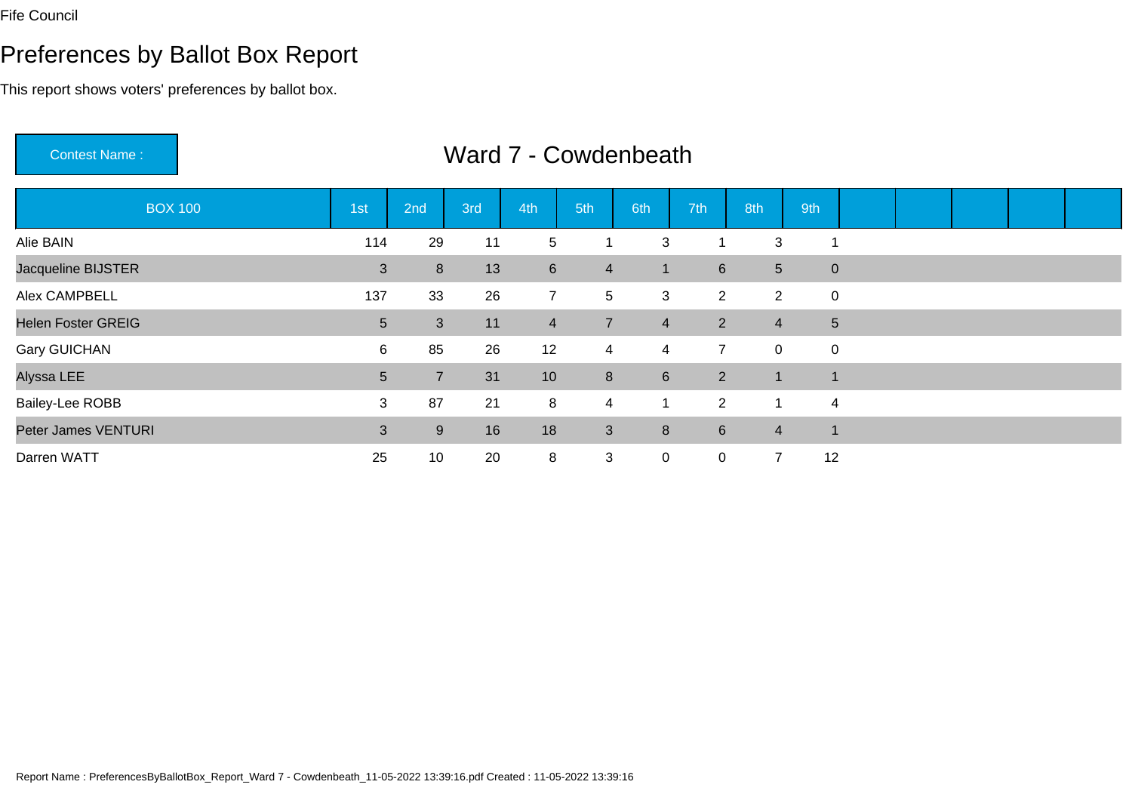Contest Name :

# Preferences by Ballot Box Report

This report shows voters' preferences by ballot box.

| <b>BOX 100</b>            | 1st            | 2nd            | 3rd | 4th             | 5th            | 6th            | 7th             | 8th             | 9th                     |  |  |  |
|---------------------------|----------------|----------------|-----|-----------------|----------------|----------------|-----------------|-----------------|-------------------------|--|--|--|
| Alie BAIN                 | 114            | 29             | 11  | 5 <sup>5</sup>  |                | 3              |                 | 3               |                         |  |  |  |
| Jacqueline BIJSTER        | 3              | 8              | 13  | $6\overline{6}$ | $\overline{4}$ | $\mathbf{1}$   | $6\overline{6}$ | $5\phantom{.0}$ | $\mathbf{0}$            |  |  |  |
| Alex CAMPBELL             | 137            | 33             | 26  | 7 <sup>1</sup>  | 5              | 3              | $2^{\circ}$     | $\overline{2}$  | $\overline{0}$          |  |  |  |
| <b>Helen Foster GREIG</b> | 5 <sup>5</sup> | 3              | 11  | $\overline{4}$  | $\overline{7}$ | $\overline{4}$ | 2               | $\overline{4}$  | $5\phantom{.0}$         |  |  |  |
| <b>Gary GUICHAN</b>       | 6              | 85             | 26  | 12              | $\overline{4}$ | 4              | $\overline{7}$  | $\mathbf 0$     | $\mathbf 0$             |  |  |  |
| Alyssa LEE                | 5 <sup>5</sup> | $\overline{7}$ | 31  | 10 <sup>°</sup> | 8              | 6              | $\overline{2}$  |                 | $\overline{\mathbf{A}}$ |  |  |  |
| <b>Bailey-Lee ROBB</b>    | 3              | 87             | 21  | 8               | $\overline{4}$ |                | $\overline{2}$  |                 | $\overline{4}$          |  |  |  |
| Peter James VENTURI       | $\overline{3}$ | 9              | 16  | 18              | 3              | 8              | $6\phantom{1}$  | $\overline{4}$  | $\overline{\mathbf{1}}$ |  |  |  |
| Darren WATT               | 25             | 10             | 20  | 8               | 3              | $\mathbf 0$    | $\mathbf 0$     | $\overline{7}$  | 12                      |  |  |  |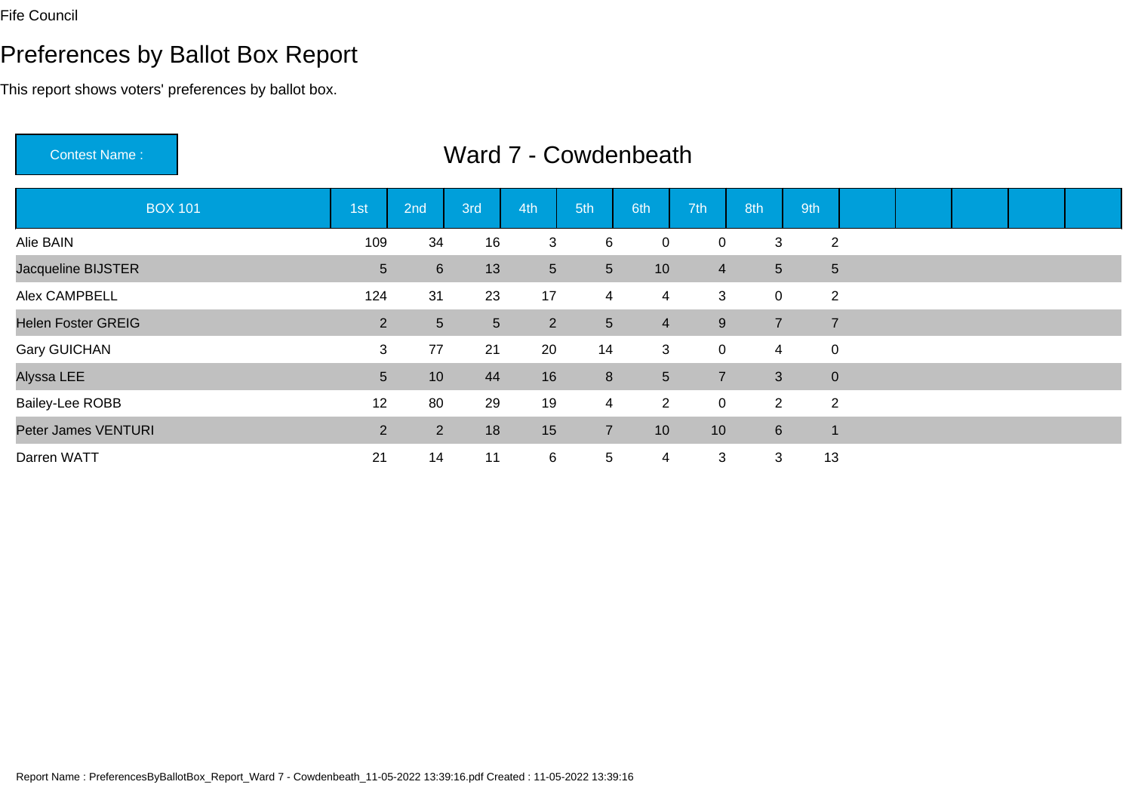Contest Name :

#### Preferences by Ballot Box Report

This report shows voters' preferences by ballot box.

BOX 101 1st 2nd 3rd 4th 5th 6th 7th 8th 9th Alie BAINN 109 34 16 3 6 0 0 3 2 Jacqueline BIJSTER <sup>5</sup> <sup>6</sup> <sup>13</sup> <sup>5</sup> <sup>5</sup> <sup>10</sup> <sup>4</sup> <sup>5</sup> <sup>5</sup> Alex CAMPBELLL 23 124 31 23 17 4 4 3 0 2 Helen Foster GREIG2 5 5 2 5 4 9 7 7 Gary GUICHANN 3 77 21 20 14 3 0 4 0 Alyssa LEE <sup>5</sup> <sup>10</sup> <sup>44</sup> <sup>16</sup> <sup>8</sup> <sup>5</sup> <sup>7</sup> <sup>3</sup> <sup>0</sup> Bailey-Lee ROBB <sup>12</sup> <sup>80</sup> <sup>29</sup> <sup>19</sup> <sup>4</sup> <sup>2</sup> <sup>0</sup> <sup>2</sup> <sup>2</sup> Peter James VENTURI $\overline{1}$  , and  $\overline{2}$  , and  $\overline{2}$  <sup>2</sup> <sup>18</sup> <sup>15</sup> <sup>7</sup> <sup>10</sup> <sup>10</sup> <sup>6</sup> <sup>1</sup> Darren WATTT 21 14 11 6 5 4 3 3 13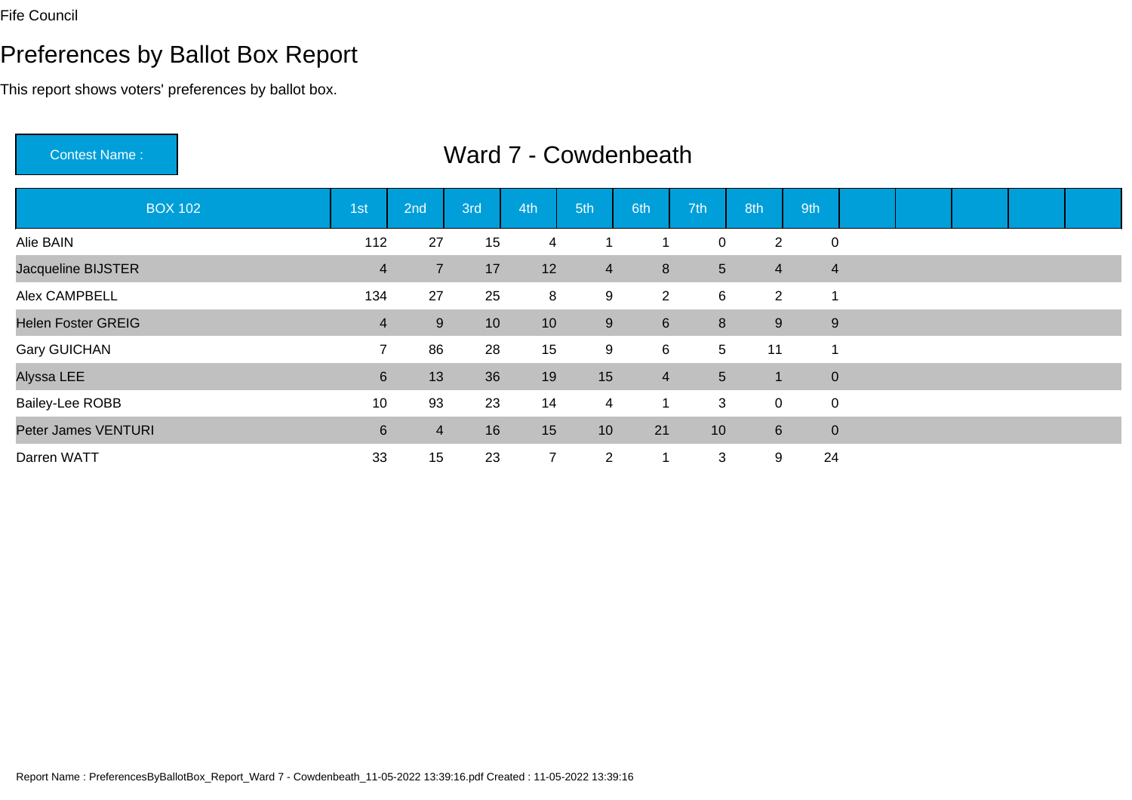# Preferences by Ballot Box Report

This report shows voters' preferences by ballot box.

Contest Name :

| <b>BOX 102</b>            | 1st                     | 2nd            | 3rd | 4th            | 5th              | 6th              | 7th             | 8th            | 9th            |  |  |  |
|---------------------------|-------------------------|----------------|-----|----------------|------------------|------------------|-----------------|----------------|----------------|--|--|--|
| Alie BAIN                 | 112                     | 27             | 15  | 4              |                  |                  | $\mathsf{O}$    | 2              | $\overline{0}$ |  |  |  |
| Jacqueline BIJSTER        | $\overline{\mathbf{4}}$ | $\overline{7}$ | 17  | 12             | $\overline{4}$   | 8                | 5 <sup>5</sup>  | $\overline{4}$ | $\overline{4}$ |  |  |  |
| Alex CAMPBELL             | 134                     | 27             | 25  | 8              | 9                | $2^{\circ}$      | 6               | $\overline{2}$ | 1              |  |  |  |
| <b>Helen Foster GREIG</b> | $\overline{\mathbf{4}}$ | 9              | 10  | 10             | $\boldsymbol{9}$ | $6 \overline{6}$ | 8 <sup>°</sup>  | 9              | $9\,$          |  |  |  |
| <b>Gary GUICHAN</b>       | $\overline{7}$          | 86             | 28  | 15             | 9                | 6                | $5\overline{)}$ | 11             | 1              |  |  |  |
| Alyssa LEE                | $6 \overline{6}$        | 13             | 36  | 19             | 15               | $\overline{4}$   | $5\overline{)}$ | 1              | $\overline{0}$ |  |  |  |
| <b>Bailey-Lee ROBB</b>    | 10                      | 93             | 23  | 14             | $\overline{4}$   | 1                | 3               | $\mathbf 0$    | $\overline{0}$ |  |  |  |
| Peter James VENTURI       | 6                       | $\overline{4}$ | 16  | 15             | 10               | 21               | 10              | 6              | $\overline{0}$ |  |  |  |
| Darren WATT               | 33                      | 15             | 23  | $\overline{7}$ | $\overline{2}$   | 1                | 3               | 9              | 24             |  |  |  |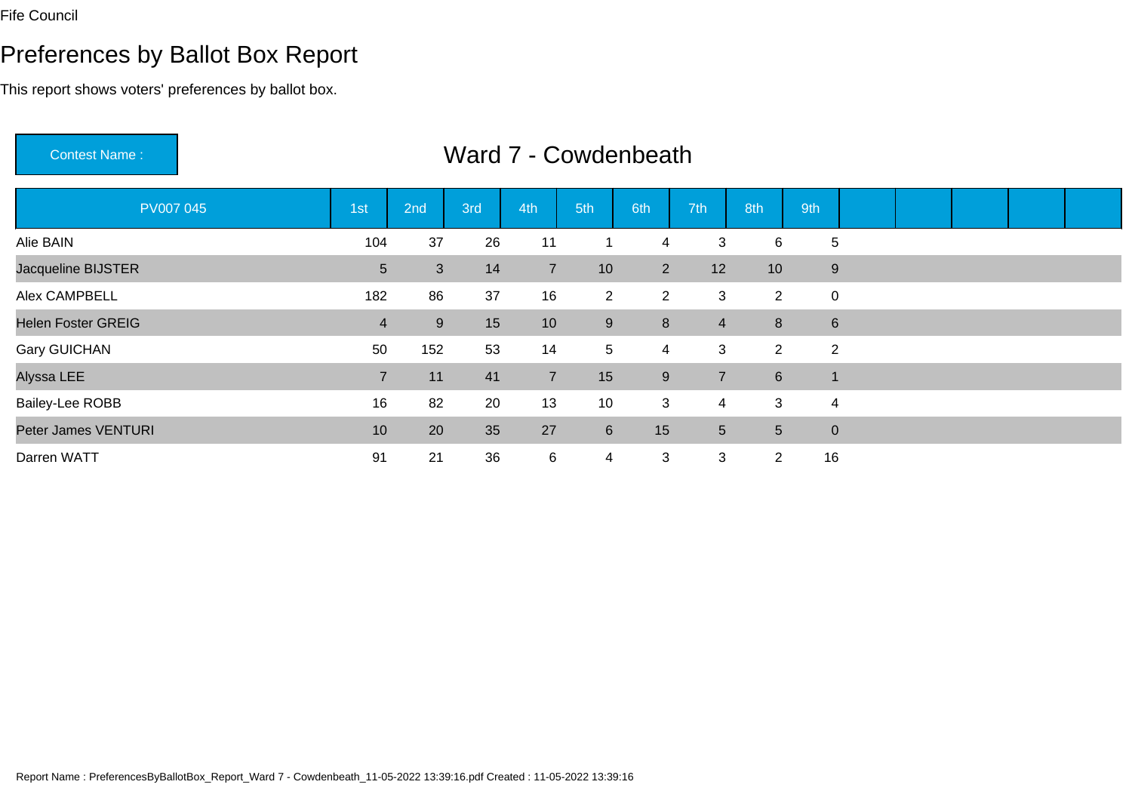# Preferences by Ballot Box Report

This report shows voters' preferences by ballot box.

Contest Name :

| <b>PV007 045</b>          | 1st            | 2nd | 3rd | 4th            | 5th             | 6th            | 7th            | 8th            | 9th                     |  |  |  |
|---------------------------|----------------|-----|-----|----------------|-----------------|----------------|----------------|----------------|-------------------------|--|--|--|
| Alie BAIN                 | 104            | 37  | 26  | 11             |                 | 4              | 3              | 6              | 5                       |  |  |  |
| Jacqueline BIJSTER        | 5              | 3   | 14  | $\overline{7}$ | 10              | 2 <sup>1</sup> | 12             | 10             | 9                       |  |  |  |
| Alex CAMPBELL             | 182            | 86  | 37  | 16             | $\overline{2}$  | $\overline{2}$ | 3              | $\overline{2}$ | $\mathbf 0$             |  |  |  |
| <b>Helen Foster GREIG</b> | $\overline{4}$ | 9   | 15  | 10             | 9               | 8              | $\overline{4}$ | $\bf 8$        | $6\phantom{1}$          |  |  |  |
| <b>Gary GUICHAN</b>       | 50             | 152 | 53  | 14             | $5\phantom{.0}$ | 4              | 3              | $\overline{2}$ | $\overline{2}$          |  |  |  |
| Alyssa LEE                | $\overline{7}$ | 11  | 41  | $\overline{7}$ | 15              | 9              | $\overline{7}$ | $\,6$          | $\overline{\mathbf{A}}$ |  |  |  |
| <b>Bailey-Lee ROBB</b>    | 16             | 82  | 20  | 13             | 10              | 3              | 4              | 3              | $\overline{4}$          |  |  |  |
| Peter James VENTURI       | 10             | 20  | 35  | 27             | $6\phantom{1}$  | 15             | 5 <sup>5</sup> | 5              | $\overline{0}$          |  |  |  |
| Darren WATT               | 91             | 21  | 36  | 6              | $\overline{4}$  | 3              | 3              | $\overline{2}$ | 16                      |  |  |  |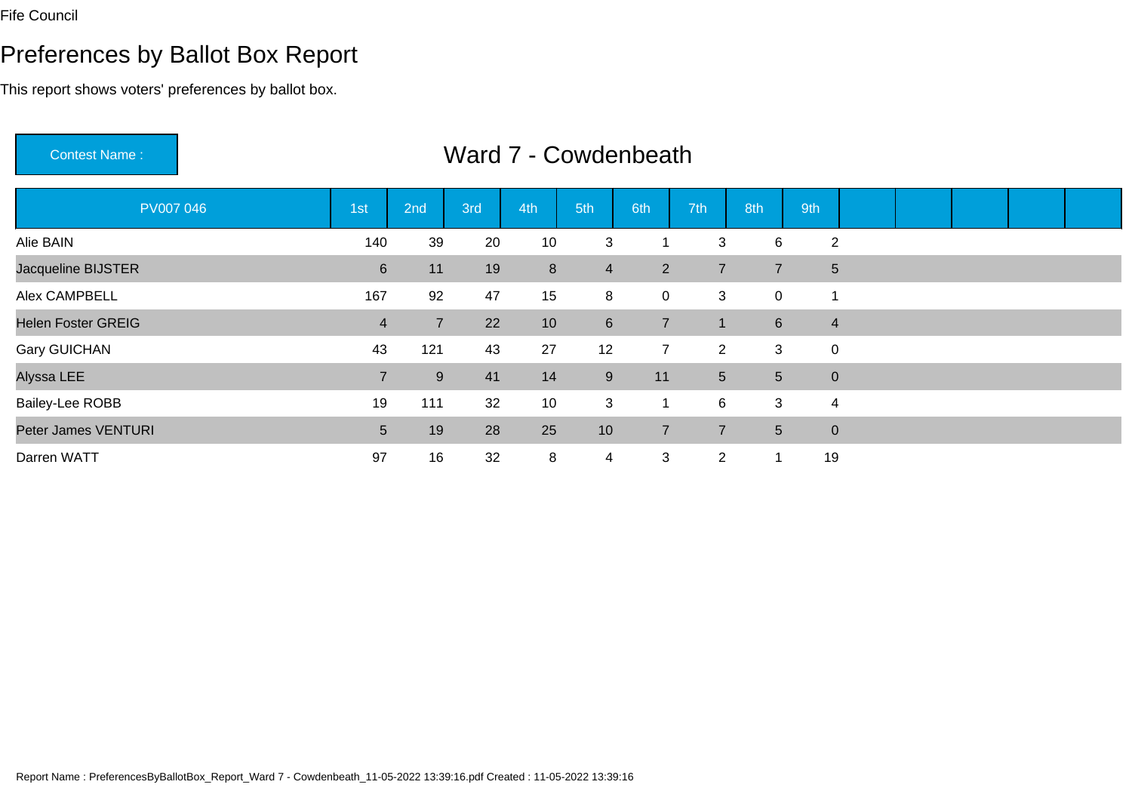Contest Name :

# Preferences by Ballot Box Report

This report shows voters' preferences by ballot box.

| <b>PV007 046</b>          | 1st            | 2nd            | 3rd | 4th             | 5th            | 6th            | 7th             | 8th            | 9th            |  |  |  |
|---------------------------|----------------|----------------|-----|-----------------|----------------|----------------|-----------------|----------------|----------------|--|--|--|
| Alie BAIN                 | 140            | 39             | 20  | 10              | 3              |                | 3               | 6              | $\overline{2}$ |  |  |  |
| Jacqueline BIJSTER        | 6              | 11             | 19  | 8 <sup>°</sup>  | $\overline{4}$ | $2^{\circ}$    | $\overline{7}$  | $\overline{7}$ | $\overline{5}$ |  |  |  |
| Alex CAMPBELL             | 167            | 92             | 47  | 15              | 8              | $\overline{0}$ | 3               | $\mathbf 0$    |                |  |  |  |
| <b>Helen Foster GREIG</b> | $\overline{4}$ | $\overline{7}$ | 22  | 10              | 6              | $\overline{7}$ | 1               | $6\phantom{1}$ | $\overline{4}$ |  |  |  |
| <b>Gary GUICHAN</b>       | 43             | 121            | 43  | 27              | 12             | $\overline{7}$ | $\overline{2}$  | 3              | $\pmb{0}$      |  |  |  |
| Alyssa LEE                | $\overline{7}$ | 9              | 41  | 14              | $9\,$          | 11             | $5\overline{)}$ | 5 <sup>5</sup> | $\mathbf 0$    |  |  |  |
| <b>Bailey-Lee ROBB</b>    | 19             | 111            | 32  | 10 <sup>°</sup> | 3              | 1              | 6               | 3              | $\overline{4}$ |  |  |  |
| Peter James VENTURI       | 5 <sup>5</sup> | 19             | 28  | 25              | 10             | $\overline{7}$ | $\overline{7}$  | 5 <sup>5</sup> | $\mathbf 0$    |  |  |  |
| Darren WATT               | 97             | 16             | 32  | 8               | 4              | 3              | $\overline{2}$  |                | 19             |  |  |  |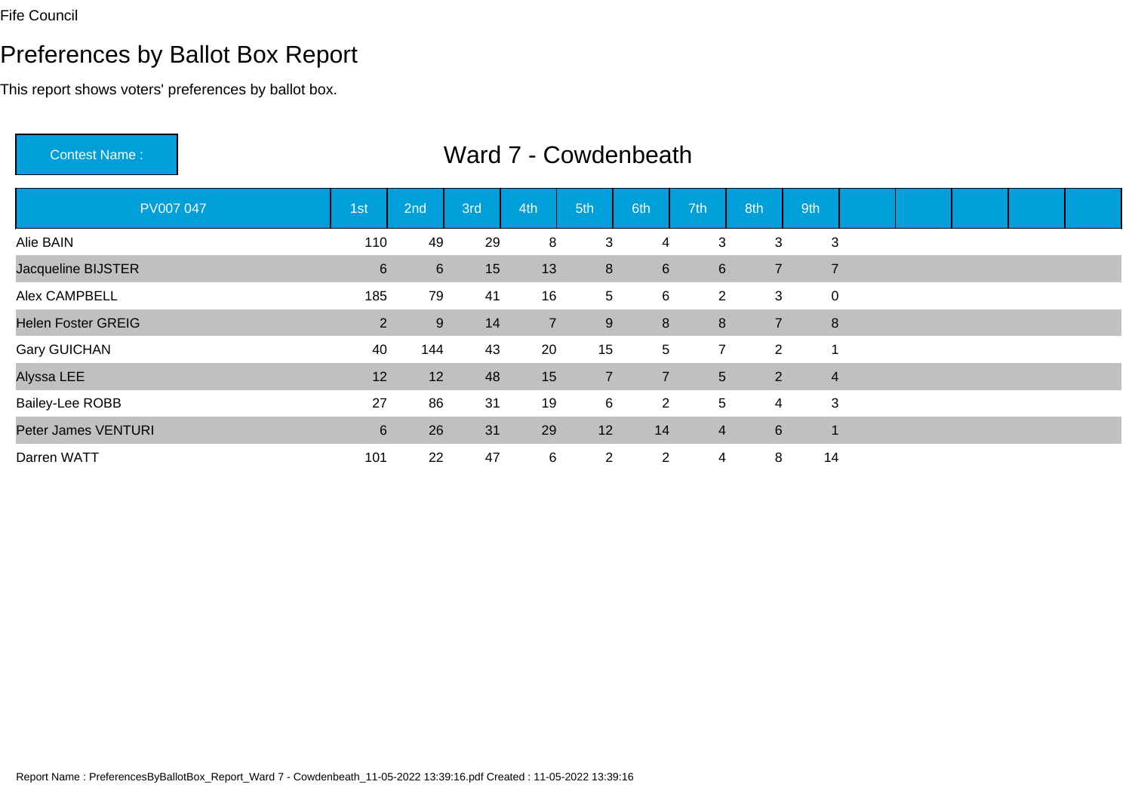# Preferences by Ballot Box Report

This report shows voters' preferences by ballot box.

Contest Name :

| PV007 047                 | 1st            | 2nd             | 3rd | 4th            | 5th             | 6th            | 7th             | 8th            | 9th                     |  |  |  |
|---------------------------|----------------|-----------------|-----|----------------|-----------------|----------------|-----------------|----------------|-------------------------|--|--|--|
| Alie BAIN                 | 110            | 49              | 29  | 8              | 3               | 4              | 3               | 3              | 3                       |  |  |  |
| Jacqueline BIJSTER        | $6\phantom{.}$ | $6\overline{6}$ | 15  | 13             | 8               | 6              | $6\overline{6}$ | $\overline{7}$ | $\overline{7}$          |  |  |  |
| Alex CAMPBELL             | 185            | 79              | 41  | 16             | $5\phantom{.0}$ | 6              | $\overline{2}$  | 3              | $\mathbf 0$             |  |  |  |
| <b>Helen Foster GREIG</b> | $\overline{2}$ | 9               | 14  | $\overline{7}$ | 9               | 8              | 8 <sup>°</sup>  | $\overline{7}$ | 8                       |  |  |  |
| <b>Gary GUICHAN</b>       | 40             | 144             | 43  | 20             | 15              | 5              | $\overline{7}$  | $\overline{2}$ | 1                       |  |  |  |
| Alyssa LEE                | 12             | 12              | 48  | 15             | $\overline{7}$  | $\overline{7}$ | 5 <sup>5</sup>  | $\overline{2}$ | $\overline{4}$          |  |  |  |
| <b>Bailey-Lee ROBB</b>    | 27             | 86              | 31  | 19             | 6               | 2 <sup>1</sup> | 5               | 4              | 3                       |  |  |  |
| Peter James VENTURI       | 6              | 26              | 31  | 29             | 12              | 14             | $\overline{4}$  | $\,6\,$        | $\overline{\mathbf{A}}$ |  |  |  |
| Darren WATT               | 101            | 22              | 47  | 6              | $\overline{2}$  | $\overline{2}$ | 4               | 8              | 14                      |  |  |  |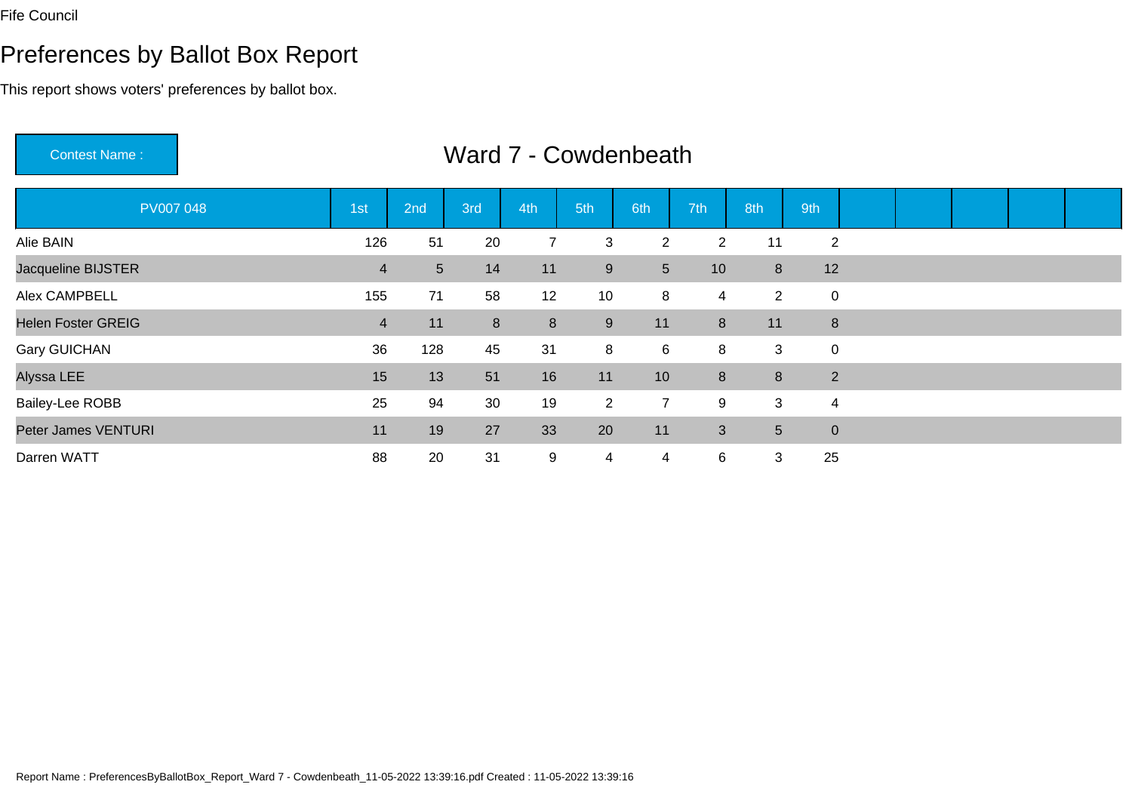Contest Name :

# Preferences by Ballot Box Report

This report shows voters' preferences by ballot box.

| <b>PV007 048</b>          | 1st            | 2nd             | 3rd | 4th            | 5th            | 6th             | 7th          | 8th            | 9th                     |  |  |  |
|---------------------------|----------------|-----------------|-----|----------------|----------------|-----------------|--------------|----------------|-------------------------|--|--|--|
| Alie BAIN                 | 126            | 51              | 20  | $\overline{7}$ | 3              | $\overline{2}$  | 2            | 11             | $\overline{2}$          |  |  |  |
| Jacqueline BIJSTER        | $\overline{4}$ | $5\overline{)}$ | 14  | 11             | 9              | 5 <sup>5</sup>  | 10           | 8              | 12                      |  |  |  |
| Alex CAMPBELL             | 155            | 71              | 58  | 12             | 10             | 8               | 4            | $\overline{2}$ | $\mathbf 0$             |  |  |  |
| <b>Helen Foster GREIG</b> | $\overline{4}$ | 11              | 8   | 8              | 9              | 11              | 8            | 11             | $\bf 8$                 |  |  |  |
| <b>Gary GUICHAN</b>       | 36             | 128             | 45  | 31             | 8              | $6^{\circ}$     | 8            | 3              | $\mathbf 0$             |  |  |  |
| Alyssa LEE                | 15             | 13              | 51  | 16             | 11             | 10 <sup>1</sup> | 8            | 8              | $\overline{2}$          |  |  |  |
| <b>Bailey-Lee ROBB</b>    | 25             | 94              | 30  | 19             | $\overline{2}$ | $\overline{7}$  | 9            | 3              | $\overline{\mathbf{4}}$ |  |  |  |
| Peter James VENTURI       | 11             | 19              | 27  | 33             | 20             | 11              | $\mathbf{3}$ | 5 <sup>5</sup> | $\mathbf 0$             |  |  |  |
| Darren WATT               | 88             | 20              | 31  | 9              | 4              | 4               | 6            | 3              | 25                      |  |  |  |